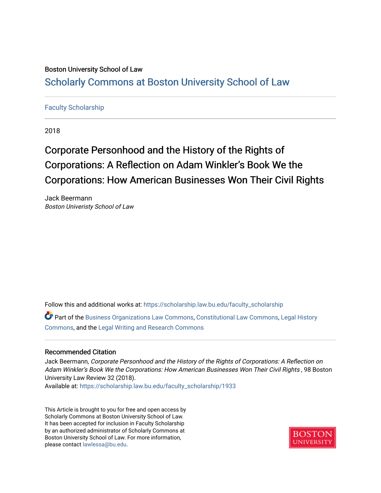## Boston University School of Law [Scholarly Commons at Boston University School of Law](https://scholarship.law.bu.edu/)

### [Faculty Scholarship](https://scholarship.law.bu.edu/faculty_scholarship)

2018

# Corporate Personhood and the History of the Rights of Corporations: A Reflection on Adam Winkler's Book We the Corporations: How American Businesses Won Their Civil Rights

Jack Beermann Boston Univeristy School of Law

Follow this and additional works at: [https://scholarship.law.bu.edu/faculty\\_scholarship](https://scholarship.law.bu.edu/faculty_scholarship?utm_source=scholarship.law.bu.edu%2Ffaculty_scholarship%2F1933&utm_medium=PDF&utm_campaign=PDFCoverPages)

Part of the [Business Organizations Law Commons](http://network.bepress.com/hgg/discipline/900?utm_source=scholarship.law.bu.edu%2Ffaculty_scholarship%2F1933&utm_medium=PDF&utm_campaign=PDFCoverPages), [Constitutional Law Commons](http://network.bepress.com/hgg/discipline/589?utm_source=scholarship.law.bu.edu%2Ffaculty_scholarship%2F1933&utm_medium=PDF&utm_campaign=PDFCoverPages), [Legal History](http://network.bepress.com/hgg/discipline/904?utm_source=scholarship.law.bu.edu%2Ffaculty_scholarship%2F1933&utm_medium=PDF&utm_campaign=PDFCoverPages) [Commons](http://network.bepress.com/hgg/discipline/904?utm_source=scholarship.law.bu.edu%2Ffaculty_scholarship%2F1933&utm_medium=PDF&utm_campaign=PDFCoverPages), and the [Legal Writing and Research Commons](http://network.bepress.com/hgg/discipline/614?utm_source=scholarship.law.bu.edu%2Ffaculty_scholarship%2F1933&utm_medium=PDF&utm_campaign=PDFCoverPages) 

#### Recommended Citation

Jack Beermann, Corporate Personhood and the History of the Rights of Corporations: A Reflection on Adam Winkler's Book We the Corporations: How American Businesses Won Their Civil Rights , 98 Boston University Law Review 32 (2018).

Available at: [https://scholarship.law.bu.edu/faculty\\_scholarship/1933](https://scholarship.law.bu.edu/faculty_scholarship/1933?utm_source=scholarship.law.bu.edu%2Ffaculty_scholarship%2F1933&utm_medium=PDF&utm_campaign=PDFCoverPages)

This Article is brought to you for free and open access by Scholarly Commons at Boston University School of Law. It has been accepted for inclusion in Faculty Scholarship by an authorized administrator of Scholarly Commons at Boston University School of Law. For more information, please contact [lawlessa@bu.edu](mailto:lawlessa@bu.edu).

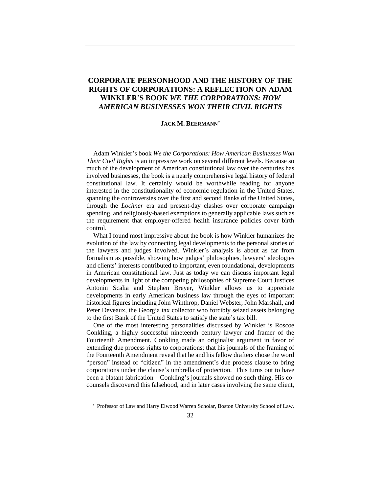### **CORPORATE PERSONHOOD AND THE HISTORY OF THE RIGHTS OF CORPORATIONS: A REFLECTION ON ADAM WINKLER'S BOOK** *WE THE CORPORATIONS: HOW AMERICAN BUSINESSES WON THEIR CIVIL RIGHTS*

#### **JACK M. BEERMANN**

Adam Winkler's book *We the Corporations: How American Businesses Won Their Civil Rights* is an impressive work on several different levels. Because so much of the development of American constitutional law over the centuries has involved businesses, the book is a nearly comprehensive legal history of federal constitutional law. It certainly would be worthwhile reading for anyone interested in the constitutionality of economic regulation in the United States, spanning the controversies over the first and second Banks of the United States, through the *Lochner* era and present-day clashes over corporate campaign spending, and religiously-based exemptions to generally applicable laws such as the requirement that employer-offered health insurance policies cover birth control.

What I found most impressive about the book is how Winkler humanizes the evolution of the law by connecting legal developments to the personal stories of the lawyers and judges involved. Winkler's analysis is about as far from formalism as possible, showing how judges' philosophies, lawyers' ideologies and clients' interests contributed to important, even foundational, developments in American constitutional law. Just as today we can discuss important legal developments in light of the competing philosophies of Supreme Court Justices Antonin Scalia and Stephen Breyer, Winkler allows us to appreciate developments in early American business law through the eyes of important historical figures including John Winthrop, Daniel Webster, John Marshall, and Peter Deveaux, the Georgia tax collector who forcibly seized assets belonging to the first Bank of the United States to satisfy the state's tax bill.

One of the most interesting personalities discussed by Winkler is Roscoe Conkling, a highly successful nineteenth century lawyer and framer of the Fourteenth Amendment. Conkling made an originalist argument in favor of extending due process rights to corporations; that his journals of the framing of the Fourteenth Amendment reveal that he and his fellow drafters chose the word "person" instead of "citizen" in the amendment's due process clause to bring corporations under the clause's umbrella of protection. This turns out to have been a blatant fabrication—Conkling's journals showed no such thing. His cocounsels discovered this falsehood, and in later cases involving the same client,

Professor of Law and Harry Elwood Warren Scholar, Boston University School of Law.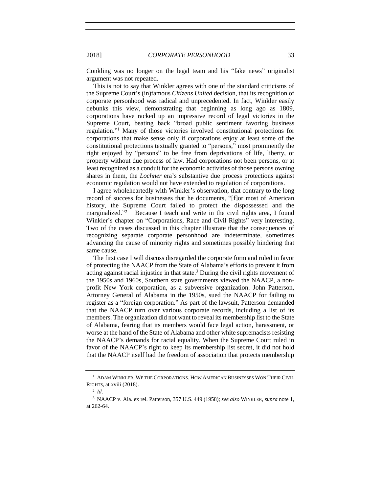Conkling was no longer on the legal team and his "fake news" originalist argument was not repeated.

This is not to say that Winkler agrees with one of the standard criticisms of the Supreme Court's (in)famous *Citizens United* decision, that its recognition of corporate personhood was radical and unprecedented. In fact, Winkler easily debunks this view, demonstrating that beginning as long ago as 1809, corporations have racked up an impressive record of legal victories in the Supreme Court, beating back "broad public sentiment favoring business regulation." <sup>1</sup> Many of those victories involved constitutional protections for corporations that make sense only if corporations enjoy at least some of the constitutional protections textually granted to "persons," most prominently the right enjoyed by "persons" to be free from deprivations of life, liberty, or property without due process of law. Had corporations not been persons, or at least recognized as a conduit for the economic activities of those persons owning shares in them, the *Lochner* era's substantive due process protections against economic regulation would not have extended to regulation of corporations.

I agree wholeheartedly with Winkler's observation, that contrary to the long record of success for businesses that he documents, "[f]or most of American history, the Supreme Court failed to protect the dispossessed and the marginalized."<sup>2</sup> Because I teach and write in the civil rights area, I found Winkler's chapter on "Corporations, Race and Civil Rights" very interesting. Two of the cases discussed in this chapter illustrate that the consequences of recognizing separate corporate personhood are indeterminate, sometimes advancing the cause of minority rights and sometimes possibly hindering that same cause.

The first case I will discuss disregarded the corporate form and ruled in favor of protecting the NAACP from the State of Alabama's efforts to prevent it from acting against racial injustice in that state.<sup>3</sup> During the civil rights movement of the 1950s and 1960s, Southern state governments viewed the NAACP, a nonprofit New York corporation, as a subversive organization. John Patterson, Attorney General of Alabama in the 1950s, sued the NAACP for failing to register as a "foreign corporation." As part of the lawsuit, Patterson demanded that the NAACP turn over various corporate records, including a list of its members. The organization did not want to reveal its membership list to the State of Alabama, fearing that its members would face legal action, harassment, or worse at the hand of the State of Alabama and other white supremacists resisting the NAACP's demands for racial equality. When the Supreme Court ruled in favor of the NAACP's right to keep its membership list secret, it did not hold that the NAACP itself had the freedom of association that protects membership

<sup>1</sup> ADAM WINKLER, WE THE CORPORATIONS: HOW AMERICAN BUSINESSES WON THEIR CIVIL RIGHTS, at xviii (2018).

<sup>2</sup> *Id*.

<sup>3</sup> NAACP v. Ala. ex rel. Patterson, 357 U.S. 449 (1958); *see also* WINKLER, *supra* note 1, at 262-64.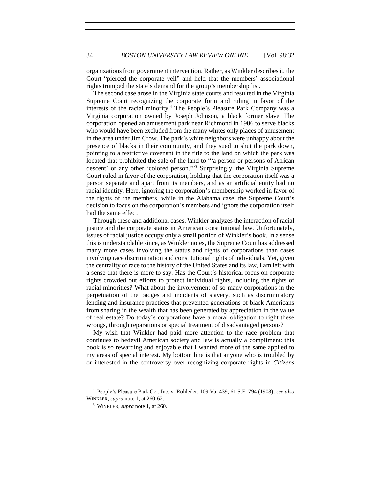organizations from government intervention. Rather, as Winkler describes it, the Court "pierced the corporate veil" and held that the members' associational rights trumped the state's demand for the group's membership list.

The second case arose in the Virginia state courts and resulted in the Virginia Supreme Court recognizing the corporate form and ruling in favor of the interests of the racial minority.<sup>4</sup> The People's Pleasure Park Company was a Virginia corporation owned by Joseph Johnson, a black former slave. The corporation opened an amusement park near Richmond in 1906 to serve blacks who would have been excluded from the many whites only places of amusement in the area under Jim Crow. The park's white neighbors were unhappy about the presence of blacks in their community, and they sued to shut the park down, pointing to a restrictive covenant in the title to the land on which the park was located that prohibited the sale of the land to "'a person or persons of African descent' or any other 'colored person.'" <sup>5</sup> Surprisingly, the Virginia Supreme Court ruled in favor of the corporation, holding that the corporation itself was a person separate and apart from its members, and as an artificial entity had no racial identity. Here, ignoring the corporation's membership worked in favor of the rights of the members, while in the Alabama case, the Supreme Court's decision to focus on the corporation's members and ignore the corporation itself had the same effect.

Through these and additional cases, Winkler analyzes the interaction of racial justice and the corporate status in American constitutional law. Unfortunately, issues of racial justice occupy only a small portion of Winkler's book. In a sense this is understandable since, as Winkler notes, the Supreme Court has addressed many more cases involving the status and rights of corporations than cases involving race discrimination and constitutional rights of individuals. Yet, given the centrality of race to the history of the United States and its law, I am left with a sense that there is more to say. Has the Court's historical focus on corporate rights crowded out efforts to protect individual rights, including the rights of racial minorities? What about the involvement of so many corporations in the perpetuation of the badges and incidents of slavery, such as discriminatory lending and insurance practices that prevented generations of black Americans from sharing in the wealth that has been generated by appreciation in the value of real estate? Do today's corporations have a moral obligation to right these wrongs, through reparations or special treatment of disadvantaged persons?

My wish that Winkler had paid more attention to the race problem that continues to bedevil American society and law is actually a compliment: this book is so rewarding and enjoyable that I wanted more of the same applied to my areas of special interest. My bottom line is that anyone who is troubled by or interested in the controversy over recognizing corporate rights in *Citizens* 

<sup>4</sup> People's Pleasure Park Co., Inc. v. Rohleder, 109 Va. 439, 61 S.E. 794 (1908); *see also* WINKLER, *supra* note 1, at 260-62.

<sup>5</sup> WINKLER, *supra* note 1, at 260.